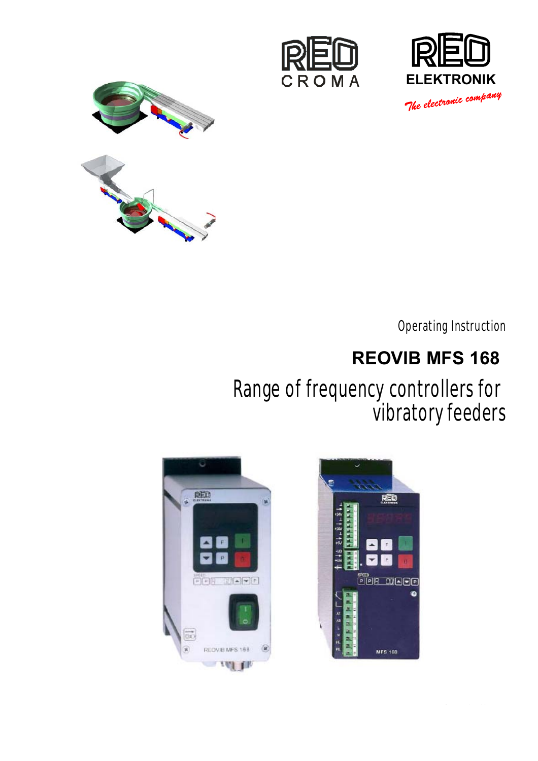





Operating Instruction

# **REOVIB MFS 168**

# Kange of frequency controllers for watory feeder Range of frequency controllers for vibratory feeders



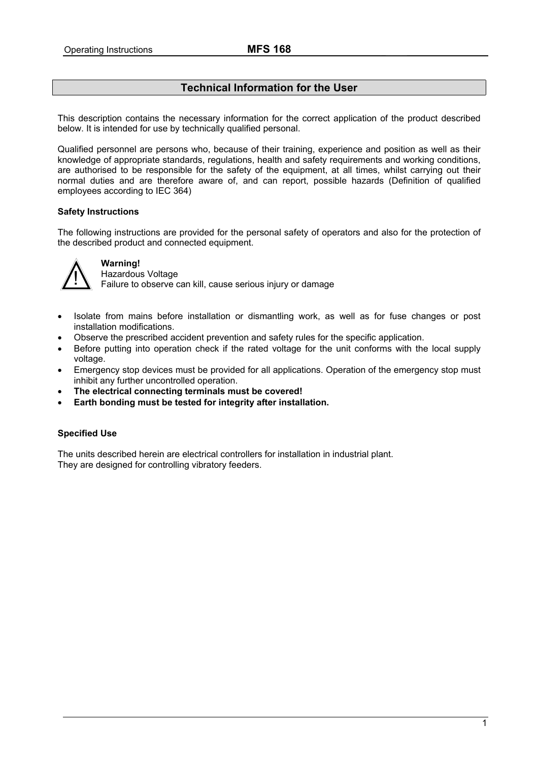# **Technical Information for the User**

<span id="page-1-0"></span>This description contains the necessary information for the correct application of the product described below. It is intended for use by technically qualified personal.

Qualified personnel are persons who, because of their training, experience and position as well as their knowledge of appropriate standards, regulations, health and safety requirements and working conditions, are authorised to be responsible for the safety of the equipment, at all times, whilst carrying out their normal duties and are therefore aware of, and can report, possible hazards (Definition of qualified employees according to IEC 364)

# **Safety Instructions**

The following instructions are provided for the personal safety of operators and also for the protection of the described product and connected equipment.



# **Warning!**

**IN** Hazardous Voltage<br> **Failure to observe can kill, cause serious injury or damage** 

- Isolate from mains before installation or dismantling work, as well as for fuse changes or post installation modifications.
- Observe the prescribed accident prevention and safety rules for the specific application.
- Before putting into operation check if the rated voltage for the unit conforms with the local supply voltage.
- Emergency stop devices must be provided for all applications. Operation of the emergency stop must inhibit any further uncontrolled operation.
- **The electrical connecting terminals must be covered!**
- **Earth bonding must be tested for integrity after installation.**

## **Specified Use**

The units described herein are electrical controllers for installation in industrial plant. They are designed for controlling vibratory feeders.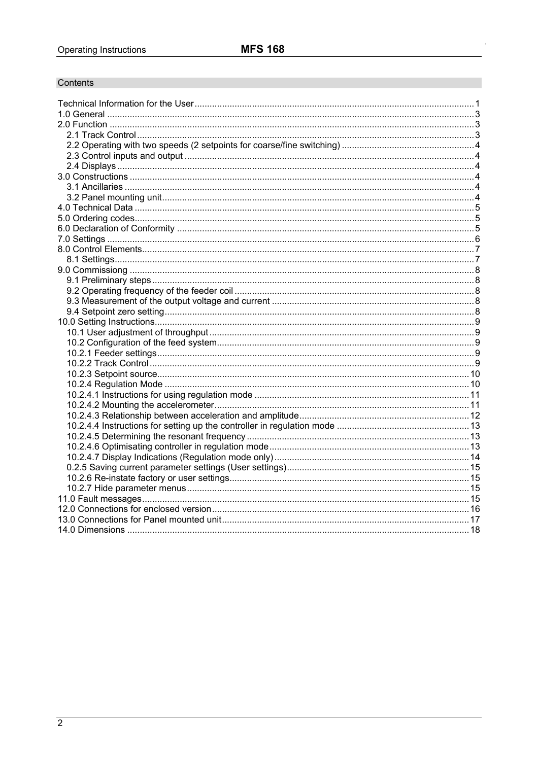# Contents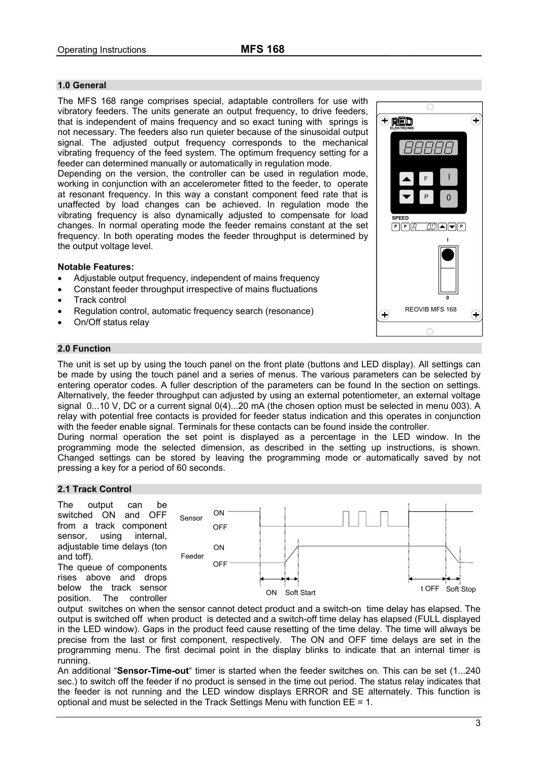# <span id="page-3-0"></span>**1.0 General**

The MFS 168 range comprises special, adaptable controllers for use with vibratory feeders. The units generate an output frequency, to drive feeders, that is independent of mains frequency and so exact tuning with springs is not necessary. The feeders also run quieter because of the sinusoidal output signal. The adjusted output frequency corresponds to the mechanical vibrating frequency of the feed system. The optimum frequency setting for a feeder can determined manually or automatically in regulation mode.

Depending on the version, the controller can be used in regulation mode, working in conjunction with an accelerometer fitted to the feeder, to operate at resonant frequency. In this way a constant component feed rate that is unaffected by load changes can be achieved. In regulation mode the vibrating frequency is also dynamically adjusted to compensate for load changes. In normal operating mode the feeder remains constant at the set frequency. In both operating modes the feeder throughput is determined by the output voltage level.

#### **Notable Features:**

- Adjustable output frequency, independent of mains frequency
- Constant feeder throughput irrespective of mains fluctuations
- Track control
- Regulation control, automatic frequency search (resonance)
- On/Off status relay

#### **2.0 Function**

The unit is set up by using the touch panel on the front plate (buttons and LED display). All settings can be made by using the touch panel and a series of menus. The various parameters can be selected by entering operator codes. A fuller description of the parameters can be found In the section on settings. Alternatively, the feeder throughput can adjusted by using an external potentiometer, an external voltage signal 0...10 V, DC or a current signal 0(4)...20 mA (the chosen option must be selected in menu 003). A relay with potential free contacts is provided for feeder status indication and this operates in conjunction with the feeder enable signal. Terminals for these contacts can be found inside the controller.

During normal operation the set point is displayed as a percentage in the LED window. In the programming mode the selected dimension, as described in the setting up instructions, is shown. Changed settings can be stored by leaving the programming mode or automatically saved by not pressing a key for a period of 60 seconds.

#### **2.1 Track Control**

The output can be switched ON and OFF from a track component sensor, using internal, adjustable time delays (ton and toff). The queue of components

rises above and drops below the track sensor position. The controller



output switches on when the sensor cannot detect product and a switch-on time delay has elapsed. The output is switched off when product is detected and a switch-off time delay has elapsed (FULL displayed in the LED window). Gaps in the product feed cause resetting of the time delay. The time will always be precise from the last or first component, respectively. The ON and OFF time delays are set in the programming menu. The first decimal point in the display blinks to indicate that an internal timer is running.

An additional "**Sensor-Time-out**" timer is started when the feeder switches on. This can be set (1...240 sec.) to switch off the feeder if no product is sensed in the time out period. The status relay indicates that the feeder is not running and the LED window displays ERROR and SE alternately. This function is optional and must be selected in the Track Settings Menu with function EE = 1.

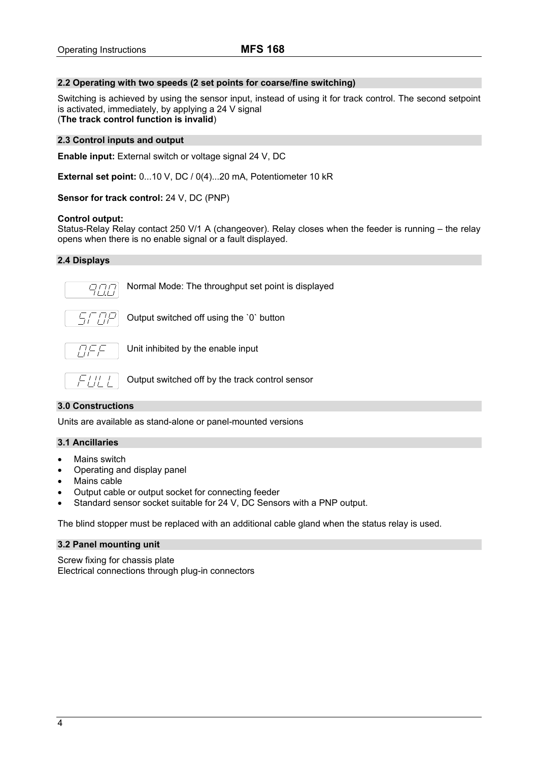# <span id="page-4-0"></span>**2.2 Operating with two speeds (2 set points for coarse/fine switching)**

Switching is achieved by using the sensor input, instead of using it for track control. The second setpoint is activated, immediately, by applying a 24 V signal (**The track control function is invalid**)

## **2.3 Control inputs and output**

**Enable input:** External switch or voltage signal 24 V, DC

**External set point:** 0...10 V, DC / 0(4)...20 mA, Potentiometer 10 kR

**Sensor for track control:** 24 V, DC (PNP)

#### **Control output:**

Status-Relay Relay contact 250 V/1 A (changeover). Relay closes when the feeder is running – the relay opens when there is no enable signal or a fault displayed.

#### **2.4 Displays**



Normal Mode: The throughput set point is displayed



Output switched off using the `0` button



Unit inhibited by the enable input



Output switched off by the track control sensor

## **3.0 Constructions**

Units are available as stand-alone or panel-mounted versions

## **3.1 Ancillaries**

- Mains switch
- Operating and display panel
- Mains cable
- Output cable or output socket for connecting feeder
- Standard sensor socket suitable for 24 V, DC Sensors with a PNP output.

The blind stopper must be replaced with an additional cable gland when the status relay is used.

## **3.2 Panel mounting unit**

Screw fixing for chassis plate Electrical connections through plug-in connectors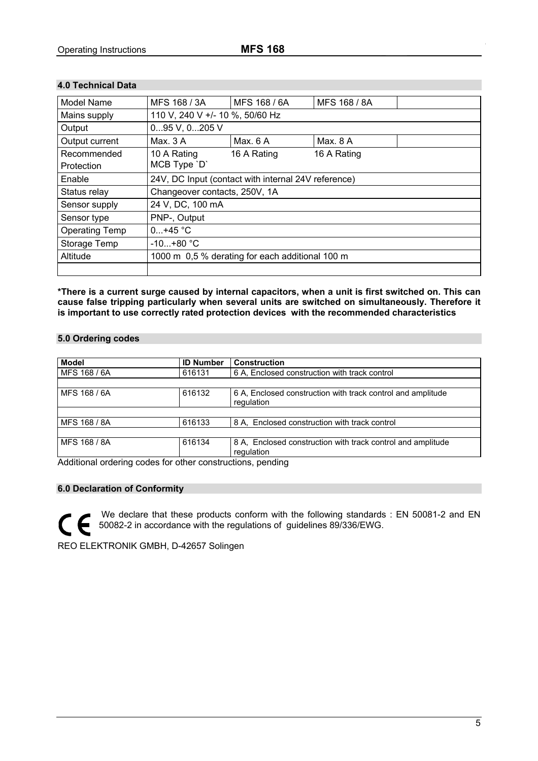ORDNUNGS- UND

# <span id="page-5-0"></span>**4.0 Technical Data**

| <b>Model Name</b>     | MFS 168 / 3A                                        | MFS 168 / 6A | MFS 168 / 8A |  |
|-----------------------|-----------------------------------------------------|--------------|--------------|--|
| Mains supply          | 110 V, 240 V +/- 10 %, 50/60 Hz                     |              |              |  |
| Output                | 095 V, 0205 V                                       |              |              |  |
| Output current        | Max. $3A$                                           | Max. 6 A     | Max. 8 A     |  |
| Recommended           | 10 A Rating                                         | 16 A Rating  | 16 A Rating  |  |
| Protection            | MCB Type 'D'                                        |              |              |  |
| Enable                | 24V, DC Input (contact with internal 24V reference) |              |              |  |
| Status relay          | Changeover contacts, 250V, 1A                       |              |              |  |
| Sensor supply         | 24 V, DC, 100 mA                                    |              |              |  |
| Sensor type           | PNP-, Output                                        |              |              |  |
| <b>Operating Temp</b> | $0+45 °C$                                           |              |              |  |
| Storage Temp          | $-10+80 °C$                                         |              |              |  |
| Altitude              | 1000 m 0,5 % derating for each additional 100 m     |              |              |  |
|                       |                                                     |              |              |  |

**\*There is a current surge caused by internal capacitors, when a unit is first switched on. This can cause false tripping particularly when several units are switched on simultaneously. Therefore it is important to use correctly rated protection devices with the recommended characteristics** 

## **5.0 Ordering codes**

| <b>Model</b> | <b>ID Number</b> | <b>Construction</b>                                                       |
|--------------|------------------|---------------------------------------------------------------------------|
| MFS 168 / 6A | 616131           | 6 A. Enclosed construction with track control                             |
|              |                  |                                                                           |
| MFS 168 / 6A | 616132           | 6 A, Enclosed construction with track control and amplitude<br>regulation |
|              |                  |                                                                           |
| MFS 168 / 8A | 616133           | 8 A, Enclosed construction with track control                             |
|              |                  |                                                                           |
| MFS 168 / 8A | 616134           | 8 A. Enclosed construction with track control and amplitude<br>regulation |

Additional ordering codes for other constructions, pending

# **6.0 Declaration of Conformity**

 $\mathcal{C}_{\mathbb{C}}$ 

We declare that these products conform with the following standards : EN 50081-2 and EN 50082-2 in accordance with the regulations of guidelines 89/336/EWG.

REO ELEKTRONIK GMBH, D-42657 Solingen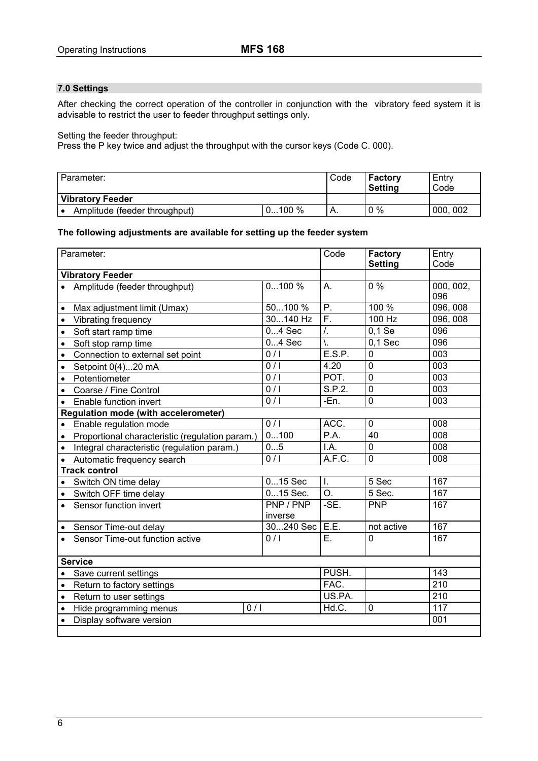# <span id="page-6-0"></span>**7.0 Settings**

After checking the correct operation of the controller in conjunction with the vibratory feed system it is advisable to restrict the user to feeder throughput settings only.

Setting the feeder throughput:

Press the P key twice and adjust the throughput with the cursor keys (Code C. 000).

| Parameter:                    |          |    | <b>Factory</b><br><b>Setting</b> | Entry<br>Code |
|-------------------------------|----------|----|----------------------------------|---------------|
| <b>Vibratory Feeder</b>       |          |    |                                  |               |
| Amplitude (feeder throughput) | $0100\%$ | Α. | $0\%$                            | 000, 002      |

#### **The following adjustments are available for setting up the feeder system**

| Parameter:                                                   |                      |                  | <b>Factory</b><br><b>Setting</b> | Entry<br>Code    |
|--------------------------------------------------------------|----------------------|------------------|----------------------------------|------------------|
| <b>Vibratory Feeder</b>                                      |                      |                  |                                  |                  |
| Amplitude (feeder throughput)                                | 0100%                | А.               | $\overline{0\%}$                 | 000, 002,<br>096 |
| Max adjustment limit (Umax)<br>$\bullet$                     | 50100 %              | Ρ.               | 100 %                            | 096, 008         |
| Vibrating frequency<br>$\bullet$                             | 30140 Hz             | F.               | 100 Hz                           | 096, 008         |
| Soft start ramp time<br>$\bullet$                            | $04$ Sec             | $\overline{I}$ . | $0,1 \overline{Se}$              | 096              |
| Soft stop ramp time<br>$\bullet$                             | $04$ Sec             | ١.               | $0,1$ Sec                        | 096              |
| Connection to external set point<br>$\bullet$                | 0/1                  | E.S.P.           | $\mathbf 0$                      | $\overline{003}$ |
| Setpoint 0(4)20 mA<br>$\bullet$                              | 0/1                  | 4.20             | $\mathbf 0$                      | 003              |
| Potentiometer<br>$\bullet$                                   | $\overline{0/1}$     | POT.             | $\Omega$                         | $\overline{003}$ |
| Coarse / Fine Control<br>$\bullet$                           | 0/1                  | S.P.2.           | $\mathbf 0$                      | 003              |
| Enable function invert<br>$\bullet$                          | 0/1                  | -En.             | $\mathbf 0$                      | 003              |
| <b>Regulation mode (with accelerometer)</b>                  |                      |                  |                                  |                  |
| Enable regulation mode<br>$\bullet$                          | 0/1                  | ACC.             | $\mathbf 0$                      | $\overline{008}$ |
| Proportional characteristic (regulation param.)<br>$\bullet$ | 0100                 | P.A.             | 40                               | 008              |
| Integral characteristic (regulation param.)<br>$\bullet$     | 05                   | I.A.             | 0                                | 008              |
| Automatic frequency search<br>$\bullet$                      | 0/1                  | A.F.C.           | $\mathbf 0$                      | 008              |
| <b>Track control</b>                                         |                      |                  |                                  |                  |
| Switch ON time delay<br>$\bullet$                            | $015$ Sec            | $\mathbf{L}$     | 5 Sec                            | 167              |
| Switch OFF time delay<br>$\bullet$                           | 015 Sec.             | O.               | $\overline{5}$ Sec.              | 167              |
| Sensor function invert<br>$\bullet$                          | PNP / PNP<br>inverse | -SE.             | <b>PNP</b>                       | 167              |
| Sensor Time-out delay<br>$\bullet$                           | 30240 Sec            | E.E.             | not active                       | 167              |
| Sensor Time-out function active                              | 0/1                  | E.               | $\mathbf{0}$                     | 167              |
| <b>Service</b>                                               |                      |                  |                                  |                  |
| Save current settings<br>$\bullet$                           |                      |                  |                                  | $\overline{143}$ |
| Return to factory settings<br>$\bullet$                      |                      |                  |                                  | $\overline{210}$ |
| Return to user settings<br>$\bullet$                         |                      |                  |                                  | $\overline{210}$ |
| 0/1<br>Hide programming menus<br>$\bullet$                   |                      |                  | 0                                | 117              |
| Display software version<br>$\bullet$                        |                      |                  |                                  | 001              |
|                                                              |                      |                  |                                  |                  |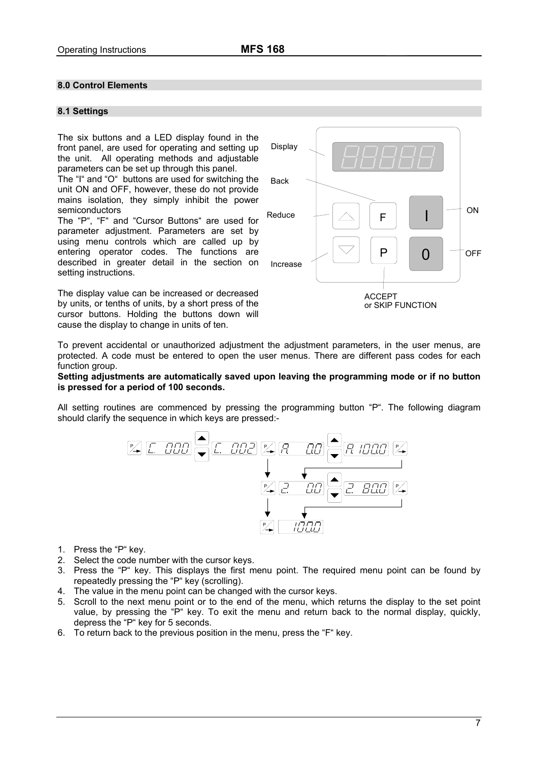# <span id="page-7-0"></span>**8.0 Control Elements**

#### **8.1 Settings**

The six buttons and a LED display found in the front panel, are used for operating and setting up the unit. All operating methods and adjustable parameters can be set up through this panel.

The "I" and "O" buttons are used for switching the unit ON and OFF, however, these do not provide mains isolation, they simply inhibit the power semiconductors

The "P", "F" and "Cursor Buttons" are used for parameter adjustment. Parameters are set by using menu controls which are called up by entering operator codes. The functions are described in greater detail in the section on setting instructions.

The display value can be increased or decreased by units, or tenths of units, by a short press of the cursor buttons. Holding the buttons down will cause the display to change in units of ten.



To prevent accidental or unauthorized adjustment the adjustment parameters, in the user menus, are protected. A code must be entered to open the user menus. There are different pass codes for each function group.

#### **Setting adjustments are automatically saved upon leaving the programming mode or if no button is pressed for a period of 100 seconds.**

All setting routines are commenced by pressing the programming button "P". The following diagram should clarify the sequence in which keys are pressed:-



- 1. Press the "P" key.
- 2. Select the code number with the cursor keys.
- 3. Press the "P" key. This displays the first menu point. The required menu point can be found by repeatedly pressing the "P" key (scrolling).
- 4. The value in the menu point can be changed with the cursor keys.
- 5. Scroll to the next menu point or to the end of the menu, which returns the display to the set point value, by pressing the "P" key. To exit the menu and return back to the normal display, quickly, depress the "P" key for 5 seconds.
- 6. To return back to the previous position in the menu, press the "F" key.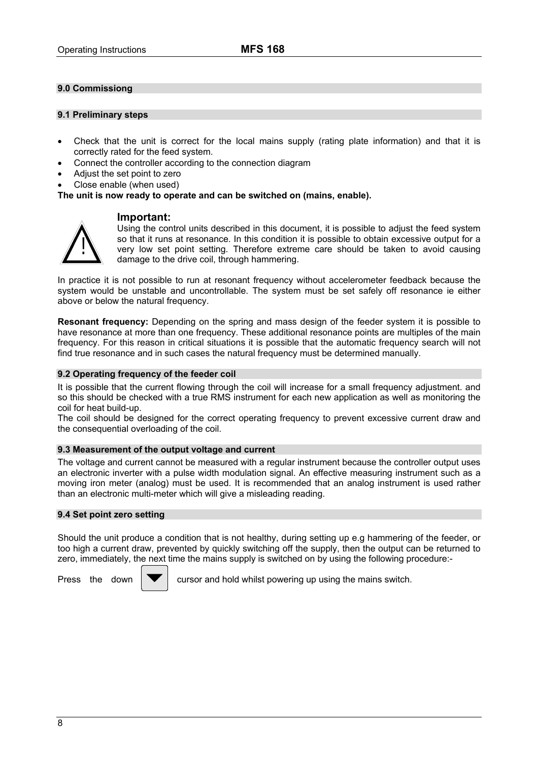## <span id="page-8-0"></span>**9.0 Commissiong**

#### **9.1 Preliminary steps**

- Check that the unit is correct for the local mains supply (rating plate information) and that it is correctly rated for the feed system.
- Connect the controller according to the connection diagram
- Adjust the set point to zero
- Close enable (when used)

**The unit is now ready to operate and can be switched on (mains, enable).** 

## **Important:**

!

Using the control units described in this document, it is possible to adjust the feed system so that it runs at resonance. In this condition it is possible to obtain excessive output for a very low set point setting. Therefore extreme care should be taken to avoid causing damage to the drive coil, through hammering.

In practice it is not possible to run at resonant frequency without accelerometer feedback because the system would be unstable and uncontrollable. The system must be set safely off resonance ie either above or below the natural frequency.

**Resonant frequency:** Depending on the spring and mass design of the feeder system it is possible to have resonance at more than one frequency. These additional resonance points are multiples of the main frequency. For this reason in critical situations it is possible that the automatic frequency search will not find true resonance and in such cases the natural frequency must be determined manually.

#### **9.2 Operating frequency of the feeder coil**

It is possible that the current flowing through the coil will increase for a small frequency adjustment. and so this should be checked with a true RMS instrument for each new application as well as monitoring the coil for heat build-up.

The coil should be designed for the correct operating frequency to prevent excessive current draw and the consequential overloading of the coil.

#### **9.3 Measurement of the output voltage and current**

The voltage and current cannot be measured with a regular instrument because the controller output uses an electronic inverter with a pulse width modulation signal. An effective measuring instrument such as a moving iron meter (analog) must be used. It is recommended that an analog instrument is used rather than an electronic multi-meter which will give a misleading reading.

#### **9.4 Set point zero setting**

Should the unit produce a condition that is not healthy, during setting up e.g hammering of the feeder, or too high a current draw, prevented by quickly switching off the supply, then the output can be returned to zero, immediately, the next time the mains supply is switched on by using the following procedure:-



Press the down  $\Box$  cursor and hold whilst powering up using the mains switch.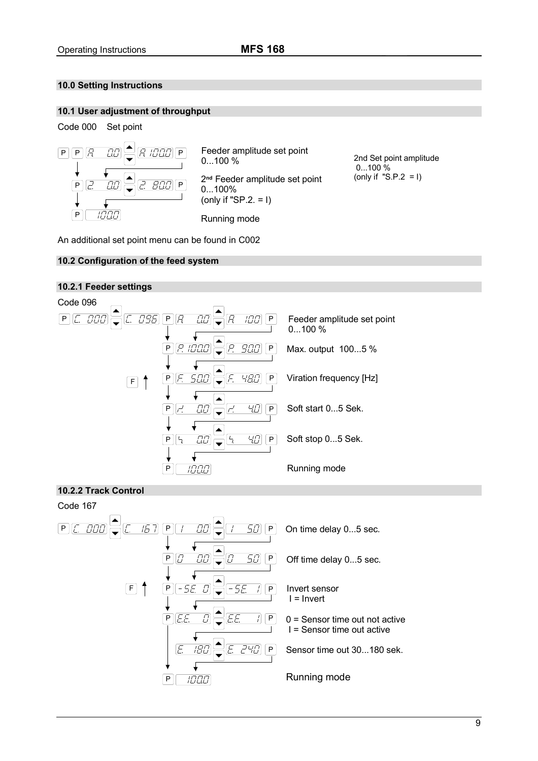# <span id="page-9-0"></span>**10.0 Setting Instructions**

## **10.1 User adjustment of throughput**



An additional set point menu can be found in C002

## **10.2 Configuration of the feed system**

# **10.2.1 Feeder settings**



## **10.2.2 Track Control**

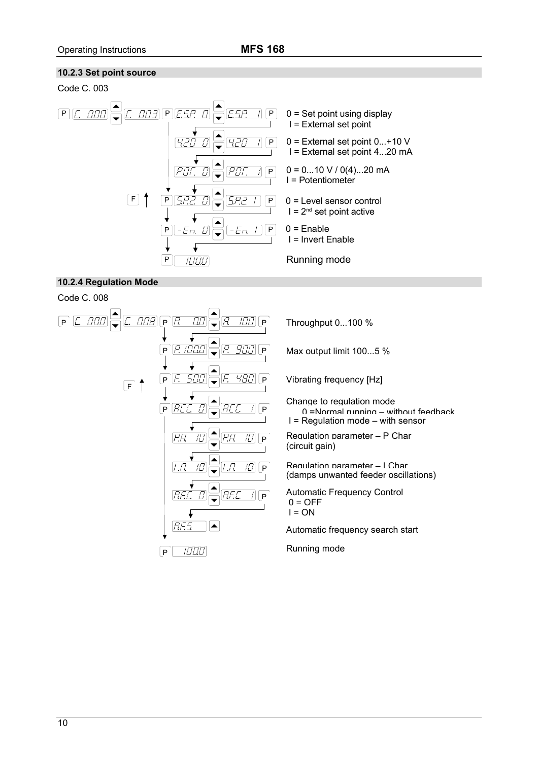## <span id="page-10-0"></span>**10.2.3 Set point source**





# **10.2.4 Regulation Mode**

Code C. 008



Max output limit 100...5 %

Vibrating frequency [Hz]

Change to regulation mode 0 =Normal running – without feedback I = Regulation mode – with sensor

Regulation parameter – P Char (circuit gain)

Regulation parameter – I Char (damps unwanted feeder oscillations)

Automatic Frequency Control  $0 = \overline{OFE}$  $I = ON$ 

Automatic frequency search start

Running mode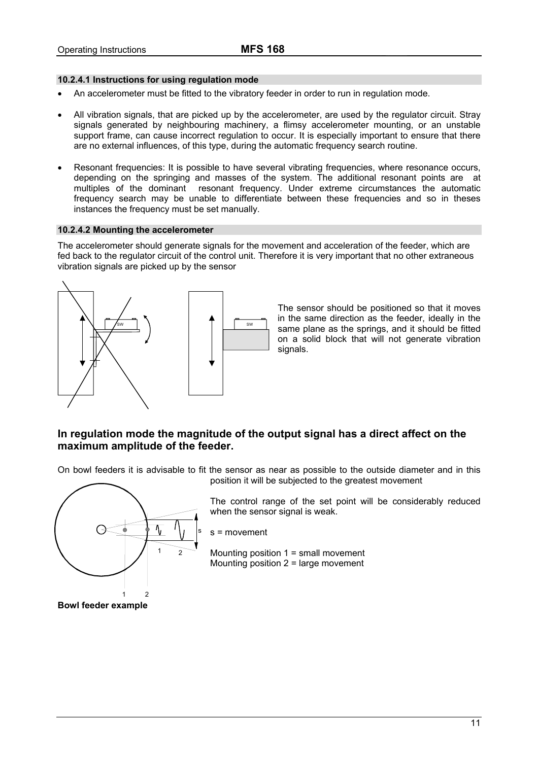### <span id="page-11-0"></span>**10.2.4.1 Instructions for using regulation mode**

- An accelerometer must be fitted to the vibratory feeder in order to run in regulation mode.
- All vibration signals, that are picked up by the accelerometer, are used by the regulator circuit. Stray signals generated by neighbouring machinery, a flimsy accelerometer mounting, or an unstable support frame, can cause incorrect regulation to occur. It is especially important to ensure that there are no external influences, of this type, during the automatic frequency search routine.
- Resonant frequencies: It is possible to have several vibrating frequencies, where resonance occurs, depending on the springing and masses of the system. The additional resonant points are at multiples of the dominant resonant frequency. Under extreme circumstances the automatic frequency search may be unable to differentiate between these frequencies and so in theses instances the frequency must be set manually.

#### **10.2.4.2 Mounting the accelerometer**

The accelerometer should generate signals for the movement and acceleration of the feeder, which are fed back to the regulator circuit of the control unit. Therefore it is very important that no other extraneous vibration signals are picked up by the sensor



The sensor should be positioned so that it moves in the same direction as the feeder, ideally in the same plane as the springs, and it should be fitted on a solid block that will not generate vibration signals.

# **In regulation mode the magnitude of the output signal has a direct affect on the maximum amplitude of the feeder.**

On bowl feeders it is advisable to fit the sensor as near as possible to the outside diameter and in this position it will be subjected to the greatest movement



**Bowl feeder example** 

The control range of the set point will be considerably reduced when the sensor signal is weak.

s = movement

Mounting position 1 = small movement Mounting position 2 = large movement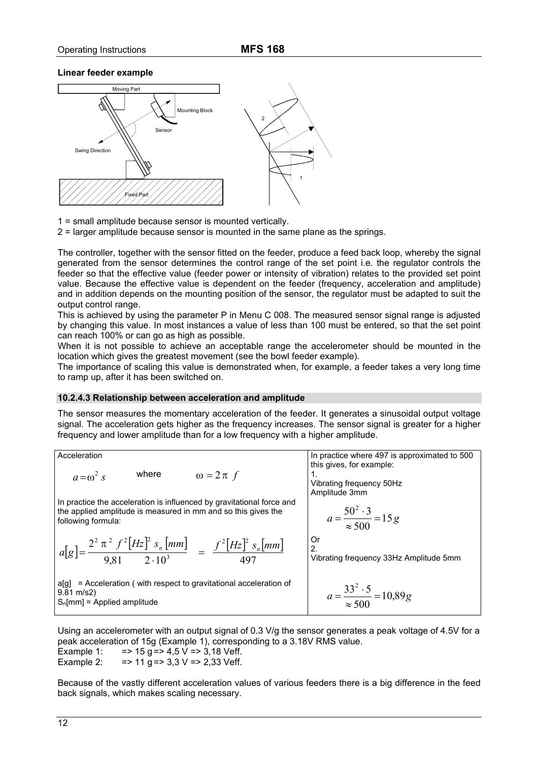#### <span id="page-12-0"></span>**Linear feeder example**



1 = small amplitude because sensor is mounted vertically.

2 = larger amplitude because sensor is mounted in the same plane as the springs.

The controller, together with the sensor fitted on the feeder, produce a feed back loop, whereby the signal generated from the sensor determines the control range of the set point i.e. the regulator controls the feeder so that the effective value (feeder power or intensity of vibration) relates to the provided set point value. Because the effective value is dependent on the feeder (frequency, acceleration and amplitude) and in addition depends on the mounting position of the sensor, the regulator must be adapted to suit the output control range.

This is achieved by using the parameter P in Menu C 008. The measured sensor signal range is adjusted by changing this value. In most instances a value of less than 100 must be entered, so that the set point can reach 100% or can go as high as possible.

When it is not possible to achieve an acceptable range the accelerometer should be mounted in the location which gives the greatest movement (see the bowl feeder example).

The importance of scaling this value is demonstrated when, for example, a feeder takes a very long time to ramp up, after it has been switched on.

#### **10.2.4.3 Relationship between acceleration and amplitude**

The sensor measures the momentary acceleration of the feeder. It generates a sinusoidal output voltage signal. The acceleration gets higher as the frequency increases. The sensor signal is greater for a higher frequency and lower amplitude than for a low frequency with a higher amplitude.

Acceleration

\n

| $a = \omega^2 s$                                                                                                                                       | where         | $\omega = 2 \pi f$ | In practice where 497 is approximated to 500 this gives, for example: |
|--------------------------------------------------------------------------------------------------------------------------------------------------------|---------------|--------------------|-----------------------------------------------------------------------|
| In practice the acceleration is influenced by gravitational force and the applied amplitude is measured in mm and so this gives the following formula: | Amplitude 3mm |                    |                                                                       |
| $a[g] = \frac{2^2 \pi^2 f^2 [Hz]^2 s_n [mm]}{9,81 \quad 2 \cdot 10^3} = \frac{f^2 [Hz]^2 s_n [mm]}{497}$                                               | Or            |                    |                                                                       |
| $a[g] = \text{Acceleration (with respect to gravitational acceleration of 9.81 m/s2)}$                                                                 | Or            | 2.10 <sup>3</sup>  |                                                                       |
| $a[g] = \text{Acceleration (with respect to gravitational acceleration of 9.81 m/s2)}$                                                                 | Or            | 2.500              |                                                                       |
| $a = \frac{33^2 \cdot 5}{\approx 500} = 10,89g$                                                                                                        | 2.500         |                    |                                                                       |

Using an accelerometer with an output signal of 0.3 V/g the sensor generates a peak voltage of 4.5V for a peak acceleration of 15g (Example 1), corresponding to a 3.18V RMS value.

Example 1:  $=$  > 15 g = > 4,5 V = > 3,18 Veff. Example 2:  $=$  > 11 g = > 3,3 V = > 2,33 Veff.

Because of the vastly different acceleration values of various feeders there is a big difference in the feed back signals, which makes scaling necessary.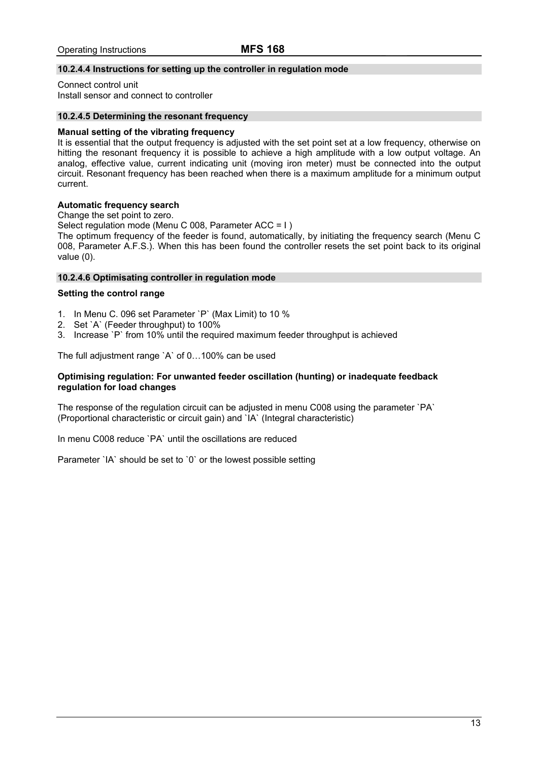## <span id="page-13-0"></span>**10.2.4.4 Instructions for setting up the controller in regulation mode**

Connect control unit Install sensor and connect to controller

#### **10.2.4.5 Determining the resonant frequency**

#### **Manual setting of the vibrating frequency**

It is essential that the output frequency is adjusted with the set point set at a low frequency, otherwise on hitting the resonant frequency it is possible to achieve a high amplitude with a low output voltage. An analog, effective value, current indicating unit (moving iron meter) must be connected into the output circuit. Resonant frequency has been reached when there is a maximum amplitude for a minimum output current.

## **Automatic frequency search**

Change the set point to zero.

Select regulation mode (Menu C 008, Parameter ACC = I)

The optimum frequency of the feeder is found, automatically, by initiating the frequency search (Menu C 008, Parameter A.F.S.). When this has been found the controller resets the set point back to its original value (0).

#### **10.2.4.6 Optimisating controller in regulation mode**

#### **Setting the control range**

- 1. In Menu C. 096 set Parameter `P` (Max Limit) to 10 %
- 2. Set `A` (Feeder throughput) to 100%
- 3. Increase `P` from 10% until the required maximum feeder throughput is achieved

The full adjustment range `A` of 0…100% can be used

#### **Optimising regulation: For unwanted feeder oscillation (hunting) or inadequate feedback regulation for load changes**

The response of the regulation circuit can be adjusted in menu C008 using the parameter `PA` (Proportional characteristic or circuit gain) and `IA` (Integral characteristic)

In menu C008 reduce `PA` until the oscillations are reduced

Parameter `IA` should be set to `0` or the lowest possible setting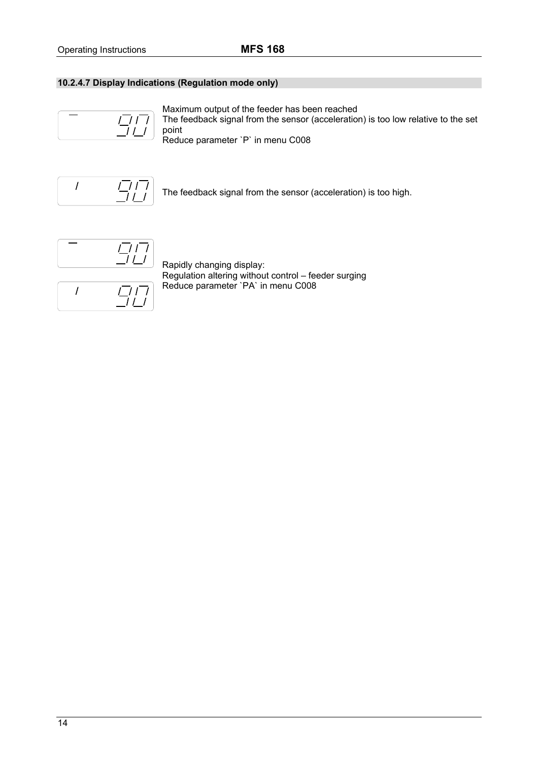# <span id="page-14-0"></span>**10.2.4.7 Display Indications (Regulation mode only)**



Maximum output of the feeder has been reached The feedback signal from the sensor (acceleration) is too low relative to the set point

Reduce parameter `P` in menu C008



The feedback signal from the sensor (acceleration) is too high.

$$
\begin{bmatrix} - & & \boxed{717} \\ & & \boxed{111} \\ \hline & & & \end{bmatrix}
$$



Rapidly changing display: Regulation altering without control – feeder surging Reduce parameter `PA` in menu C008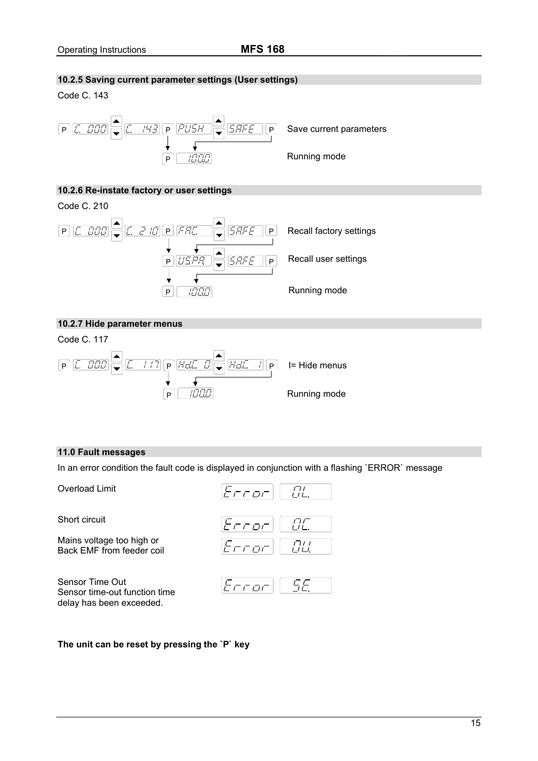# <span id="page-15-0"></span>**10.2.5 Saving current parameter settings (User settings)**

Code C. 143



## **10.2.6 Re-instate factory or user settings**



# **10.2.7 Hide parameter menus**

Code C. 117



#### **11.0 Fault messages**

In an error condition the fault code is displayed in conjunction with a flashing `ERROR` message

Overload Limit

Short circuit

Mains voltage too high or Back EMF from feeder coil

Sensor Time Out Sensor time-out function time delay has been exceeded.





## **The unit can be reset by pressing the `P` key**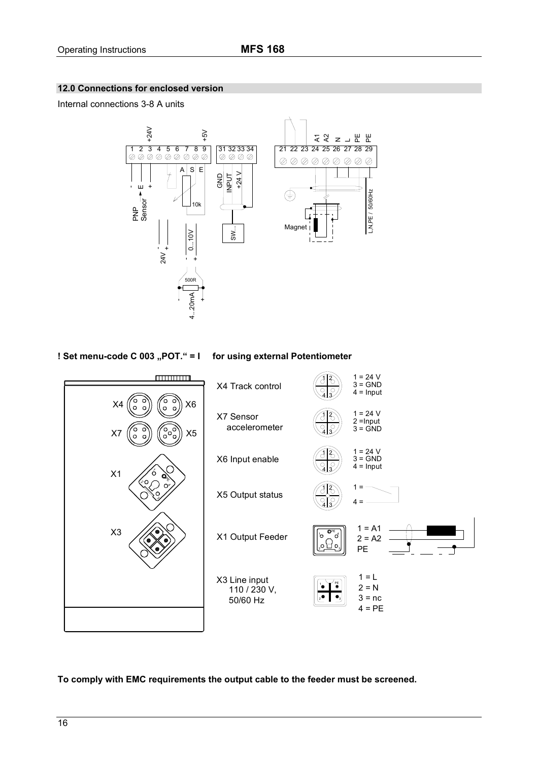# <span id="page-16-0"></span>**12.0 Connections for enclosed version**

Internal connections 3-8 A units



**! Set menu-code C 003 "POT." = I** for using external Potentiometer



**To comply with EMC requirements the output cable to the feeder must be screened.**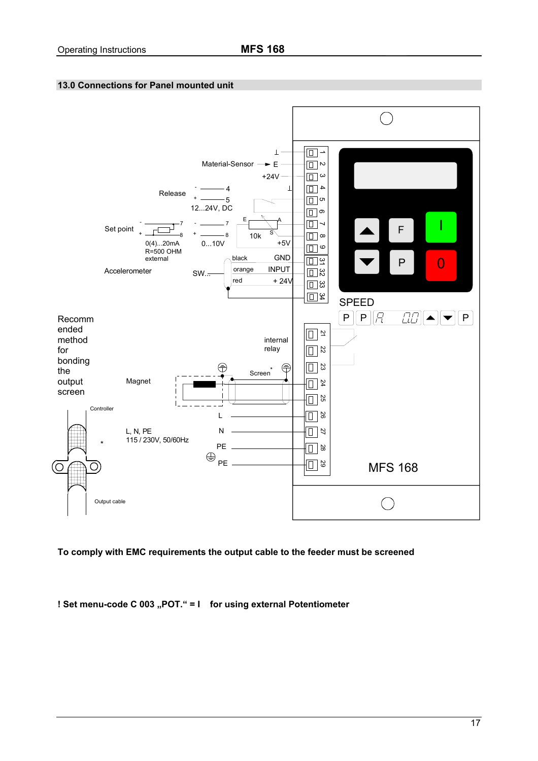# <span id="page-17-0"></span>**13.0 Connections for Panel mounted unit**



**To comply with EMC requirements the output cable to the feeder must be screened**

**! Set menu-code C 003 "POT." = I** for using external Potentiometer